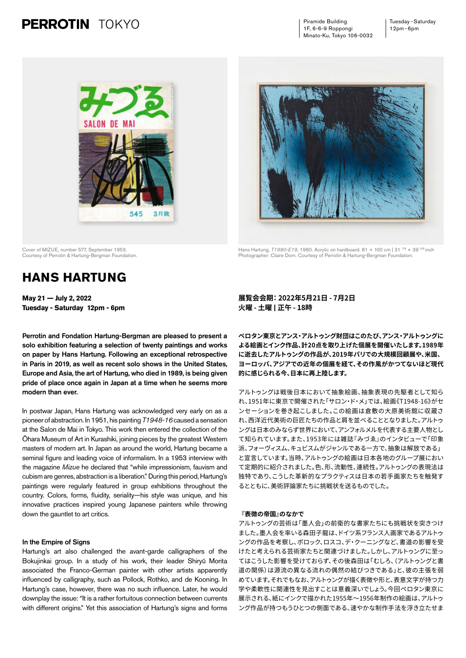# **PERROTIN** TOKYO

Piramide Building 1F, 6-6-9 Roppongi Minato-Ku, Tokyo 106-0032





Hans Hartung, *T1980-E19*, 1980. Acrylic on hardboard. 81 × 100 cm | 31<sup>7/8</sup> × 39<sup>3/8</sup> inch Photographer: Claire Dorn. Courtesy of Perrotin & Hartung-Bergman Foundation.

Cover of MIZUE, number 577, September 1953. Courtesy of Perrotin & Hartung-Bergman Foundation.

# **HANS HARTUNG**

**May 21 — July 2, 2022 Tuesday - Saturday 12pm - 6pm** 

Perrotin and Fondation Hartung-Bergman are pleased to present a solo exhibition featuring a selection of twenty paintings and works on paper by Hans Hartung. Following an exceptional retrospective in Paris in 2019, as well as recent solo shows in the United States, Europe and Asia, the art of Hartung, who died in 1989, is being given pride of place once again in Japan at a time when he seems more modern than ever.

In postwar Japan, Hans Hartung was acknowledged very early on as a pioneer of abstraction. In 1951, his painting *T1948-16* caused a sensation at the Salon de Mai in Tokyo. This work then entered the collection of the Ōhara Museum of Art in Kurashiki, joining pieces by the greatest Western masters of modern art. In Japan as around the world, Hartung became a seminal figure and leading voice of informalism. In a 1953 interview with the magazine *Mizue* he declared that "while impressionism, fauvism and cubism are genres, abstraction is a liberation." During this period, Hartung's paintings were regularly featured in group exhibitions throughout the country. Colors, forms, fluidity, seriality—his style was unique, and his innovative practices inspired young Japanese painters while throwing down the gauntlet to art critics.

## In the Empire of Signs

Hartung's art also challenged the avant-garde calligraphers of the Bokujinkai group. In a study of his work, their leader Shiryū Morita associated the Franco-German painter with other artists apparently influenced by calligraphy, such as Pollock, Rothko, and de Kooning. In Hartung's case, however, there was no such influence. Later, he would downplay the issue: "It is a rather fortuitous connection between currents with different origins." Yet this association of Hartung's signs and forms

## **展覧会会期: 2022年5月21日 - 7月2日 火曜 - 土曜 | 正午 - 18時**

**ペロタン東京とアンス・アルトゥング財団はこのたび、アンス・アルトゥングに よる絵画とインク作品、計20点を取り上げた個展を開催いたします。1989年 に逝去したアルトゥングの作品が、2019年パリでの大規模回顧展や、米国、 ヨーロッパ、アジアでの近年の個展を経て、その作風がかつてないほど現代 的に感じられる今、日本に再上陸します。**

アルトゥングは戦後日本において抽象絵画、抽象表現の先駆者として知ら れ、1951年に東京で開催された「サロン・ド・メ」では、絵画《T1948-16》がセ ンセーションを巻き起こしました。この絵画は倉敷の大原美術館に収蔵さ れ、西洋近代美術の巨匠たちの作品と肩を並べることとなりました。アルトゥ ングは日本のみならず世界において、アンフォルメルを代表する主要人物とし て知られています。また、1953年には雑誌『みづゑ』のインタビューで「印象 派、フォーヴィスム、キュビスムがジャンルである一方で、抽象は解放である」 と宣言しています。当時、アルトゥングの絵画は日本各地のグループ展におい て定期的に紹介されました。色、形、流動性、連続性。アルトゥングの表現法は 独特であり、こうした革新的なプラクティスは日本の若手画家たちを触発す るとともに、美術評論家たちに挑戦状を送るものでした。

#### **『表徴の帝国』のなかで**

アルトゥングの芸術は「墨人会」の前衛的な書家たちにも挑戦状を突きつけ ました。墨人会を率いる森田子龍は、ドイツ系フランス人画家であるアルトゥ ングの作品を考察し、ポロック、ロスコ、デ・クーニングなど、書道の影響を受 けたと考えられる芸術家たちと関連づけました。しかし、アルトゥングに至っ てはこうした影響を受けておらず、その後森田は「むしろ、(アルトゥングと書 道の関係)は源流の異なる流れの偶然の結びつきである」と、彼の主張を弱 めています。それでもなお、アルトゥングが描く表徴や形と、表意文字が持つ力 学や柔軟性に関連性を見出すことは意義深いでしょう。今回ペロタン東京に 展示される、紙にインクで描かれた1955年~1956年制作の絵画は、アルトゥ ング作品が持つもうひとつの側面である、速やかな制作手法を浮き立たせま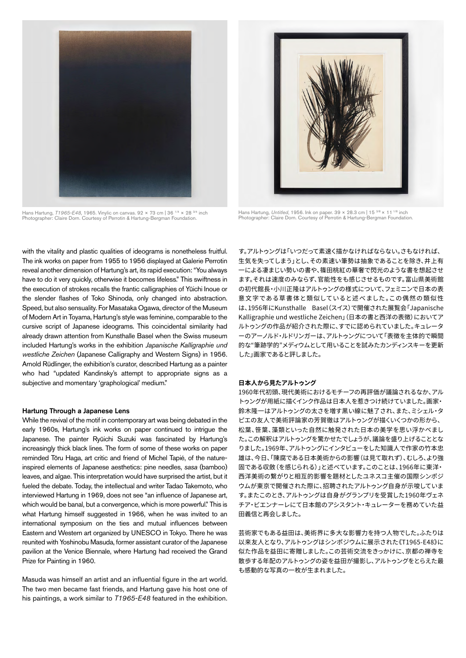

Hans Hartung, *T1965-E48*, 1965. Vinylic on canvas. 92 × 73 cm | 36<sup>1/4</sup> × 28<sup>3/4</sup> inch Photographer: Claire Dorn. Courtesy of Perrotin & Hartung-Bergman Foundation.



Hans Hartung, *Untitled*, 1956. Ink on paper. 39 × 28.3 cm | 15<sup>3/8</sup> × 11<sup>1/8</sup> inch Photographer: Claire Dorn. Courtesy of Perrotin & Hartung-Bergman Foundation.

with the vitality and plastic qualities of ideograms is nonetheless fruitful. The ink works on paper from 1955 to 1956 displayed at Galerie Perrotin reveal another dimension of Hartung's art, its rapid execution: "You always have to do it very quickly, otherwise it becomes lifeless." This swiftness in the execution of strokes recalls the frantic calligraphies of Yūichi Inoue or the slender flashes of Toko Shinoda, only changed into abstraction. Speed, but also sensuality. For Masataka Ogawa, director of the Museum of Modern Art in Toyama, Hartung's style was feminine, comparable to the cursive script of Japanese ideograms. This coincidental similarity had already drawn attention from Kunsthalle Basel when the Swiss museum included Hartung's works in the exhibition *Japanische Kalligraphie und westliche Zeichen* (Japanese Calligraphy and Western Signs) in 1956. Arnold Rüdlinger, the exhibition's curator, described Hartung as a painter who had "updated Kandinsky's attempt to appropriate signs as a subjective and momentary 'graphological' medium."

#### Hartung Through a Japanese Lens

While the revival of the motif in contemporary art was being debated in the early 1960s, Hartung's ink works on paper continued to intrigue the Japanese. The painter Ryūichi Suzuki was fascinated by Hartung's increasingly thick black lines. The form of some of these works on paper reminded Tōru Haga, art critic and friend of Michel Tapié, of the natureinspired elements of Japanese aesthetics: pine needles, *sasa* (bamboo) leaves, and algae. This interpretation would have surprised the artist, but it fueled the debate. Today, the intellectual and writer Tadao Takemoto, who interviewed Hartung in 1969, does not see "an influence of Japanese art, which would be banal, but a convergence, which is more powerful." This is what Hartung himself suggested in 1966, when he was invited to an international symposium on the ties and mutual influences between Eastern and Western art organized by UNESCO in Tokyo. There he was reunited with Yoshinobu Masuda, former assistant curator of the Japanese pavilion at the Venice Biennale, where Hartung had received the Grand Prize for Painting in 1960.

Masuda was himself an artist and an influential figure in the art world. The two men became fast friends, and Hartung gave his host one of his paintings, a work similar to *T1965-E48* featured in the exhibition.

す。アルトゥングは「いつだって素速く描かなければならない。さもなければ、 生気を失ってしまう」とし、その素速い筆勢は抽象であることを除き、井上有 一による凄まじい勢いの書や、篠田桃紅の華奢で閃光のような書を想起させ ます。それは速度のみならず、官能性をも感じさせるものです。富山県美術館 の初代館長・小川正隆はアルトゥングの様式について、フェミニンで日本の表 意文字である草書体と類似していると述べました。この偶然の類似性 は、1956年にKunsthalle Basel(スイス)で開催された展覧会「Japanische Kalligraphie und westliche Zeichen」(日本の書と西洋の表徴)においてア ルトゥングの作品が紹介された際に、すでに認められていました。キュレータ ーのアーノルド・ルドリンガーは、アルトゥングについて「表徴を主体的で瞬間 的な"筆跡学的"メディウムとして用いることを試みたカンディンスキーを更新 した」画家であると評しました。

## **日本人から見たアルトゥング**

1960年代初頭、現代美術におけるモチーフの再評価が議論されるなか、アル トゥングが用紙に描くインク作品は日本人を惹きつけ続けていました。画家・ 鈴木隆一はアルトゥングの太さを増す黒い線に魅了され、また、ミシェル・タ ピエの友人で美術評論家の芳賀徹はアルトゥングが描くいくつかの形から、 松葉、笹葉、藻類といった自然に触発された日本の美学を思い浮かべまし た。この解釈はアルトゥングを驚かせたでしょうが、議論を盛り上げることとな りました。1969年、アルトゥングにインタビューをした知識人で作家の竹本忠 雄は、今日、「陳腐である日本美術からの影響(は見て取れず)、むしろ、より強 固である収斂(を感じられる)」と述べています。このことは、1966年に東洋・ 西洋美術の繋がりと相互的影響を題材としたユネスコ主催の国際シンポジ ウムが東京で開催された際に、招聘されたアルトゥング自身が示唆していま す。またこのとき、アルトゥングは自身がグランプリを受賞した1960年ヴェネ チア・ビエンナーレにて日本館のアシスタント・キュレーターを務めていた益 田義信と再会しました。

芸術家でもある益田は、美術界に多大な影響力を持つ人物でした。ふたりは 以来友人となり、アルトゥングはシンポジウムに展示された《T1965-E48》に 似た作品を益田に寄贈しました。この芸術交流をきっかけに、京都の禅寺を 散歩する年配のアルトゥングの姿を益田が撮影し、アルトゥングをとらえた最 も感動的な写真の一枚が生まれました。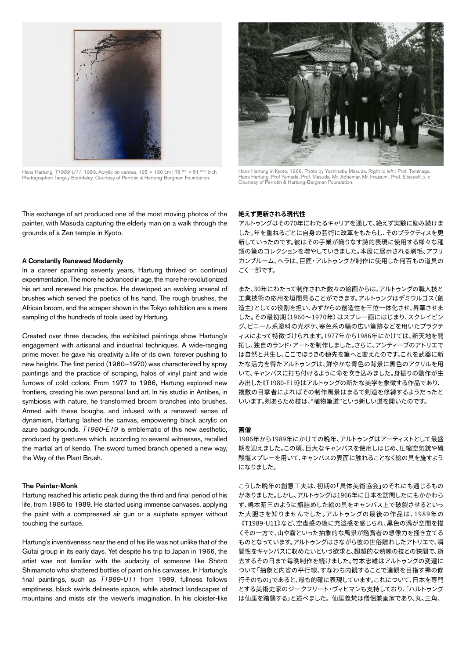

Hans Hartung, 71989-U11, 1989. Acrylic on canvas. 195 × 130 cm | 76 <sup>3/4</sup> × 51 <sup>3/16</sup> inch<br>Photographer: Tanguy Beurdeley. Courtesy of Perrotin & Hartung-Bergman Foundation.

This exchange of art produced one of the most moving photos of the painter, with Masuda capturing the elderly man on a walk through the grounds of a Zen temple in Kyoto.

## A Constantly Renewed Modernity

In a career spanning seventy years, Hartung thrived on continual experimentation. The more he advanced in age, the more he revolutionized his art and renewed his practice. He developed an evolving arsenal of brushes which served the poetics of his hand. The rough brushes, the African broom, and the scraper shown in the Tokyo exhibition are a mere sampling of the hundreds of tools used by Hartung.

Created over three decades, the exhibited paintings show Hartung's engagement with artisanal and industrial techniques. A wide-ranging prime mover, he gave his creativity a life of its own, forever pushing to new heights. The first period (1960–1970) was characterized by spray paintings and the practice of scraping, halos of vinyl paint and wide furrows of cold colors. From 1977 to 1986, Hartung explored new frontiers, creating his own personal land art. In his studio in Antibes, in symbiosis with nature, he transformed broom branches into brushes. Armed with these boughs, and infused with a renewed sense of dynamism, Hartung lashed the canvas, empowering black acrylic on azure backgrounds. *T1980-E19* is emblematic of this new aesthetic, produced by gestures which, according to several witnesses, recalled the martial art of kendo. The sword turned branch opened a new way, the Way of the Plant Brush.

### The Painter-Monk

Hartung reached his artistic peak during the third and final period of his life, from 1986 to 1989. He started using immense canvases, applying the paint with a compressed air gun or a sulphate sprayer without touching the surface.

Hartung's inventiveness near the end of his life was not unlike that of the Gutai group in its early days. Yet despite his trip to Japan in 1966, the artist was not familiar with the audacity of someone like Shōzō Shimamoto who shattered bottles of paint on his canvases. In Hartung's final paintings, such as *T1989-U11* from 1989, fullness follows emptiness, black swirls delineate space, while abstract landscapes of mountains and mists stir the viewer's imagination. In his cloister-like



Hans Hartung in Kyoto, 1966. Photo by Yoshinobu Masuda. Right to left : Prof. Tominaga,<br>Hans Hartung, Prof Yamada, Prof. Masuda, Mr. Adhemar, Mr. Imaizumi, Prof. Elisseeff, x, x<br>Courtesy of Perrotin & Hartung-Bergman Found

### **絶えず更新される現代性**

アルトゥングはその70年にわたるキャリアを通して、絶えず実験に励み続けま した。年を重ねるごとに自身の芸術に改革をもたらし、そのプラクティスを更 新していったのです。彼はその手業が織りなす詩的表現に使用する様々な種 類の筆のコレクションを増やしていきました。本展に展示される刷毛、アフリ カンブルーム、ヘラは、巨匠・アルトゥングが制作に使用した何百もの道具の ごく一部です。

また、30年にわたって制作された数々の絵画からは、アルトゥングの職人技と 工業技術の応用を垣間見ることができます。アルトゥングはデミウルゴス(創 造主)としての役割を担い、みずからの創造性を三位一体化させ、昇華させま した。その最初期(1960~1970年)はスプレー画にはじまり、スクレイピン グ、ビニール系塗料の光ボケ、寒色系の幅の広い筆跡などを用いたプラクテ ィスによって特徴づけられます。1977年から1986年にかけては、新天地を開 拓し、独自のランド・アートを制作しました。さらに、アンティーブのアトリエで は自然と共生し、ここでほうきの穂先を筆へと変えたのです。これを武器に新 たな活力を得たアルトゥングは、鮮やかな青色の背景に黒色のアクリルを用 いて、キャンバスに打ち付けるように命を吹き込みました。身振りの動作が生 み出した《T1980-E19》はアルトゥングの新たな美学を象徴する作品であり、 複数の目撃者によればその制作風景はまるで剣道を修練するようだったと いいます。剣あらため枝は、"植物筆道"という新しい道を開いたのです。

#### **画僧**

1986年から1989年にかけての晩年、アルトゥングはアーティストとして最盛 期を迎えました。この頃、巨大なキャンバスを使用しはじめ、圧縮空気銃や硫 酸塩スプレーを用いて、キャンバスの表面に触れることなく絵の具を施すよう になりました。

こうした晩年の創意工夫は、初期の「具体美術協会」のそれにも通じるもの がありました。しかし、アルトゥングは1966年に日本を訪問したにもかかわら ず、嶋本昭三のように瓶詰めした絵の具をキャンバス上で破裂させるといっ た大胆さを知りませんでした。アルトゥングの最後の作品は、1989年の 《T1989-U11》など、空虚感の後に充溢感を感じられ、黒色の渦が空間を描 くその一方で、山や霧といった抽象的な風景が鑑賞者の想像力を掻き立てる ものとなっています。アルトゥングはさながら彼の世俗離れしたアトリエで、瞬 間性をキャンバスに収めたいという欲求と、超越的な熟練の技との狭間で、逝 去するその日まで毎晩制作を続けました。竹本忠雄はアルトゥングの変遷に ついて「抽象と内省の平行線、すなわち内観することで達観を目指す禅の修 行そのもの」であると、最も的確に表現しています。これについて、日本を専門 とする美術史家のジークフリート・ヴィヒマンも支持しており、「ハルトゥング は仙厓を踏襲する」と述べました。 仙厓義梵は僧侶兼画家であり、丸、三角、